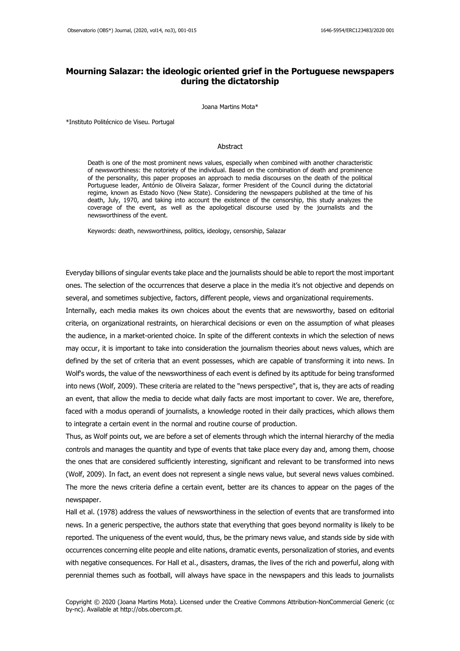# **Mourning Salazar: the ideologic oriented grief in the Portuguese newspapers during the dictatorship**

Joana Martins Mota\*

\*Instituto Politécnico de Viseu. Portugal

#### Abstract

Death is one of the most prominent news values, especially when combined with another characteristic of newsworthiness: the notoriety of the individual. Based on the combination of death and prominence of the personality, this paper proposes an approach to media discourses on the death of the political Portuguese leader, António de Oliveira Salazar, former President of the Council during the dictatorial regime, known as Estado Novo (New State). Considering the newspapers published at the time of his death, July, 1970, and taking into account the existence of the censorship, this study analyzes the coverage of the event, as well as the apologetical discourse used by the journalists and the newsworthiness of the event.

Keywords: death, newsworthiness, politics, ideology, censorship, Salazar

Everyday billions of singular events take place and the journalists should be able to report the most important ones. The selection of the occurrences that deserve a place in the media it's not objective and depends on several, and sometimes subjective, factors, different people, views and organizational requirements.

Internally, each media makes its own choices about the events that are newsworthy, based on editorial criteria, on organizational restraints, on hierarchical decisions or even on the assumption of what pleases the audience, in a market-oriented choice. In spite of the different contexts in which the selection of news may occur, it is important to take into consideration the journalism theories about news values, which are defined by the set of criteria that an event possesses, which are capable of transforming it into news. In Wolf's words, the value of the newsworthiness of each event is defined by its aptitude for being transformed into news (Wolf, 2009). These criteria are related to the "news perspective", that is, they are acts of reading an event, that allow the media to decide what daily facts are most important to cover. We are, therefore, faced with a modus operandi of journalists, a knowledge rooted in their daily practices, which allows them to integrate a certain event in the normal and routine course of production.

Thus, as Wolf points out, we are before a set of elements through which the internal hierarchy of the media controls and manages the quantity and type of events that take place every day and, among them, choose the ones that are considered sufficiently interesting, significant and relevant to be transformed into news (Wolf, 2009). In fact, an event does not represent a single news value, but several news values combined. The more the news criteria define a certain event, better are its chances to appear on the pages of the newspaper.

Hall et al. (1978) address the values of newsworthiness in the selection of events that are transformed into news. In a generic perspective, the authors state that everything that goes beyond normality is likely to be reported. The uniqueness of the event would, thus, be the primary news value, and stands side by side with occurrences concerning elite people and elite nations, dramatic events, personalization of stories, and events with negative consequences. For Hall et al., disasters, dramas, the lives of the rich and powerful, along with perennial themes such as football, will always have space in the newspapers and this leads to journalists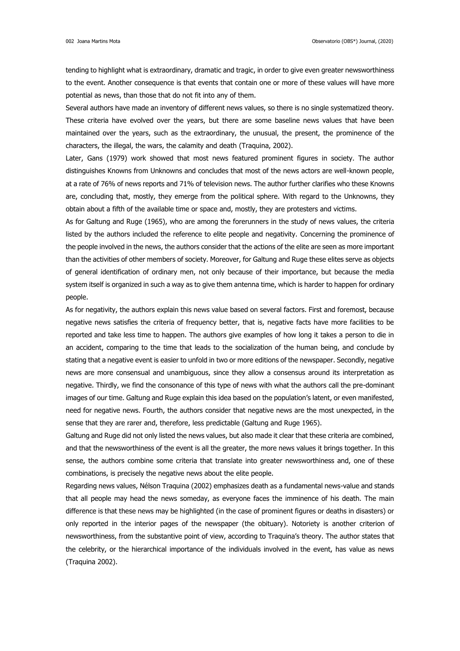tending to highlight what is extraordinary, dramatic and tragic, in order to give even greater newsworthiness to the event. Another consequence is that events that contain one or more of these values will have more potential as news, than those that do not fit into any of them.

Several authors have made an inventory of different news values, so there is no single systematized theory. These criteria have evolved over the years, but there are some baseline news values that have been maintained over the years, such as the extraordinary, the unusual, the present, the prominence of the characters, the illegal, the wars, the calamity and death (Traquina, 2002).

Later, Gans (1979) work showed that most news featured prominent figures in society. The author distinguishes Knowns from Unknowns and concludes that most of the news actors are well-known people, at a rate of 76% of news reports and 71% of television news. The author further clarifies who these Knowns are, concluding that, mostly, they emerge from the political sphere. With regard to the Unknowns, they obtain about a fifth of the available time or space and, mostly, they are protesters and victims.

As for Galtung and Ruge (1965), who are among the forerunners in the study of news values, the criteria listed by the authors included the reference to elite people and negativity. Concerning the prominence of the people involved in the news, the authors consider that the actions of the elite are seen as more important than the activities of other members of society. Moreover, for Galtung and Ruge these elites serve as objects of general identification of ordinary men, not only because of their importance, but because the media system itself is organized in such a way as to give them antenna time, which is harder to happen for ordinary people.

As for negativity, the authors explain this news value based on several factors. First and foremost, because negative news satisfies the criteria of frequency better, that is, negative facts have more facilities to be reported and take less time to happen. The authors give examples of how long it takes a person to die in an accident, comparing to the time that leads to the socialization of the human being, and conclude by stating that a negative event is easier to unfold in two or more editions of the newspaper. Secondly, negative news are more consensual and unambiguous, since they allow a consensus around its interpretation as negative. Thirdly, we find the consonance of this type of news with what the authors call the pre-dominant images of our time. Galtung and Ruge explain this idea based on the population's latent, or even manifested, need for negative news. Fourth, the authors consider that negative news are the most unexpected, in the sense that they are rarer and, therefore, less predictable (Galtung and Ruge 1965).

Galtung and Ruge did not only listed the news values, but also made it clear that these criteria are combined, and that the newsworthiness of the event is all the greater, the more news values it brings together. In this sense, the authors combine some criteria that translate into greater newsworthiness and, one of these combinations, is precisely the negative news about the elite people.

Regarding news values, Nélson Traquina (2002) emphasizes death as a fundamental news-value and stands that all people may head the news someday, as everyone faces the imminence of his death. The main difference is that these news may be highlighted (in the case of prominent figures or deaths in disasters) or only reported in the interior pages of the newspaper (the obituary). Notoriety is another criterion of newsworthiness, from the substantive point of view, according to Traquina's theory. The author states that the celebrity, or the hierarchical importance of the individuals involved in the event, has value as news (Traquina 2002).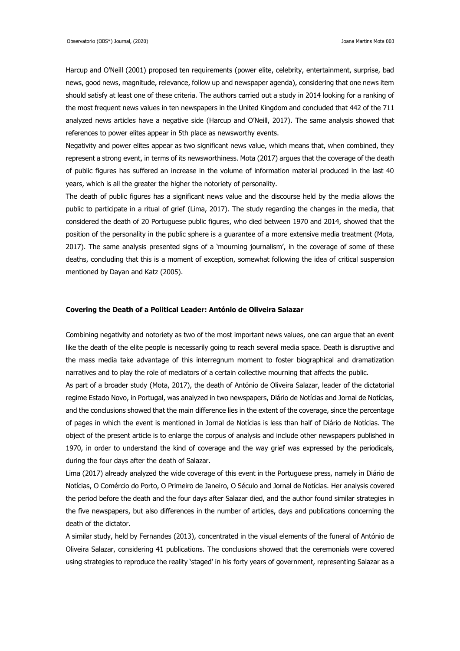Harcup and O'Neill (2001) proposed ten requirements (power elite, celebrity, entertainment, surprise, bad news, good news, magnitude, relevance, follow up and newspaper agenda), considering that one news item should satisfy at least one of these criteria. The authors carried out a study in 2014 looking for a ranking of the most frequent news values in ten newspapers in the United Kingdom and concluded that 442 of the 711 analyzed news articles have a negative side (Harcup and O'Neill, 2017). The same analysis showed that references to power elites appear in 5th place as newsworthy events.

Negativity and power elites appear as two significant news value, which means that, when combined, they represent a strong event, in terms of its newsworthiness. Mota (2017) argues that the coverage of the death of public figures has suffered an increase in the volume of information material produced in the last 40 years, which is all the greater the higher the notoriety of personality.

The death of public figures has a significant news value and the discourse held by the media allows the public to participate in a ritual of grief (Lima, 2017). The study regarding the changes in the media, that considered the death of 20 Portuguese public figures, who died between 1970 and 2014, showed that the position of the personality in the public sphere is a guarantee of a more extensive media treatment (Mota, 2017). The same analysis presented signs of a 'mourning journalism', in the coverage of some of these deaths, concluding that this is a moment of exception, somewhat following the idea of critical suspension mentioned by Dayan and Katz (2005).

#### **Covering the Death of a Political Leader: António de Oliveira Salazar**

Combining negativity and notoriety as two of the most important news values, one can argue that an event like the death of the elite people is necessarily going to reach several media space. Death is disruptive and the mass media take advantage of this interregnum moment to foster biographical and dramatization narratives and to play the role of mediators of a certain collective mourning that affects the public.

As part of a broader study (Mota, 2017), the death of António de Oliveira Salazar, leader of the dictatorial regime Estado Novo, in Portugal, was analyzed in two newspapers, Diário de Notícias and Jornal de Notícias, and the conclusions showed that the main difference lies in the extent of the coverage, since the percentage of pages in which the event is mentioned in Jornal de Notícias is less than half of Diário de Notícias. The object of the present article is to enlarge the corpus of analysis and include other newspapers published in 1970, in order to understand the kind of coverage and the way grief was expressed by the periodicals, during the four days after the death of Salazar.

Lima (2017) already analyzed the wide coverage of this event in the Portuguese press, namely in Diário de Notícias, O Comércio do Porto, O Primeiro de Janeiro, O Século and Jornal de Notícias. Her analysis covered the period before the death and the four days after Salazar died, and the author found similar strategies in the five newspapers, but also differences in the number of articles, days and publications concerning the death of the dictator.

A similar study, held by Fernandes (2013), concentrated in the visual elements of the funeral of António de Oliveira Salazar, considering 41 publications. The conclusions showed that the ceremonials were covered using strategies to reproduce the reality 'staged' in his forty years of government, representing Salazar as a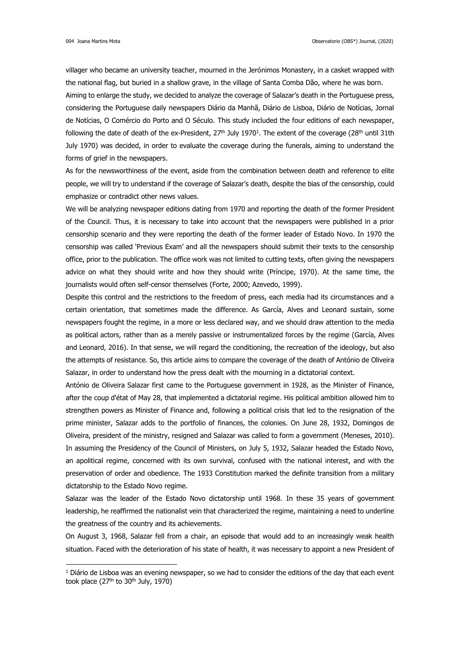villager who became an university teacher, mourned in the Jerónimos Monastery, in a casket wrapped with the national flag, but buried in a shallow grave, in the village of Santa Comba Dão, where he was born.

Aiming to enlarge the study, we decided to analyze the coverage of Salazar's death in the Portuguese press, considering the Portuguese daily newspapers Diário da Manhã, Diário de Lisboa, Diário de Notícias, Jornal de Notícias, O Comércio do Porto and O Século. This study included the four editions of each newspaper, following the date of death of the ex-President, 27th July 1970<sup>1</sup>. The extent of the coverage (28th until 31th July 1970) was decided, in order to evaluate the coverage during the funerals, aiming to understand the forms of grief in the newspapers.

As for the newsworthiness of the event, aside from the combination between death and reference to elite people, we will try to understand if the coverage of Salazar's death, despite the bias of the censorship, could emphasize or contradict other news values.

We will be analyzing newspaper editions dating from 1970 and reporting the death of the former President of the Council. Thus, it is necessary to take into account that the newspapers were published in a prior censorship scenario and they were reporting the death of the former leader of Estado Novo. In 1970 the censorship was called 'Previous Exam' and all the newspapers should submit their texts to the censorship office, prior to the publication. The office work was not limited to cutting texts, often giving the newspapers advice on what they should write and how they should write (Príncipe, 1970). At the same time, the journalists would often self-censor themselves (Forte, 2000; Azevedo, 1999).

Despite this control and the restrictions to the freedom of press, each media had its circumstances and a certain orientation, that sometimes made the difference. As García, Alves and Leonard sustain, some newspapers fought the regime, in a more or less declared way, and we should draw attention to the media as political actors, rather than as a merely passive or instrumentalized forces by the regime (García, Alves and Leonard, 2016). In that sense, we will regard the conditioning, the recreation of the ideology, but also the attempts of resistance. So, this article aims to compare the coverage of the death of António de Oliveira Salazar, in order to understand how the press dealt with the mourning in a dictatorial context.

António de Oliveira Salazar first came to the Portuguese government in 1928, as the Minister of Finance, after the coup d'état of May 28, that implemented a dictatorial regime. His political ambition allowed him to strengthen powers as Minister of Finance and, following a political crisis that led to the resignation of the prime minister, Salazar adds to the portfolio of finances, the colonies. On June 28, 1932, Domingos de Oliveira, president of the ministry, resigned and Salazar was called to form a government (Meneses, 2010). In assuming the Presidency of the Council of Ministers, on July 5, 1932, Salazar headed the Estado Novo, an apolitical regime, concerned with its own survival, confused with the national interest, and with the preservation of order and obedience. The 1933 Constitution marked the definite transition from a military dictatorship to the Estado Novo regime.

Salazar was the leader of the Estado Novo dictatorship until 1968. In these 35 years of government leadership, he reaffirmed the nationalist vein that characterized the regime, maintaining a need to underline the greatness of the country and its achievements.

On August 3, 1968, Salazar fell from a chair, an episode that would add to an increasingly weak health situation. Faced with the deterioration of his state of health, it was necessary to appoint a new President of

<sup>&</sup>lt;sup>1</sup> Diário de Lisboa was an evening newspaper, so we had to consider the editions of the day that each event took place  $(27<sup>th</sup>$  to  $30<sup>th</sup>$  July, 1970)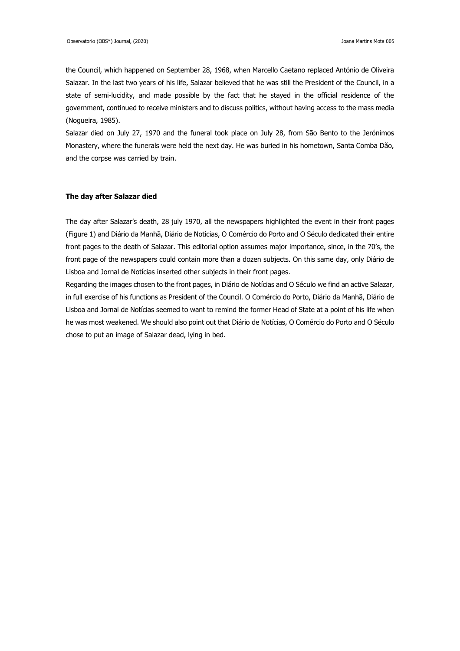the Council, which happened on September 28, 1968, when Marcello Caetano replaced António de Oliveira Salazar. In the last two years of his life, Salazar believed that he was still the President of the Council, in a state of semi-lucidity, and made possible by the fact that he stayed in the official residence of the government, continued to receive ministers and to discuss politics, without having access to the mass media (Nogueira, 1985).

Salazar died on July 27, 1970 and the funeral took place on July 28, from São Bento to the Jerónimos Monastery, where the funerals were held the next day. He was buried in his hometown, Santa Comba Dão, and the corpse was carried by train.

### **The day after Salazar died**

The day after Salazar's death, 28 july 1970, all the newspapers highlighted the event in their front pages (Figure 1) and Diário da Manhã, Diário de Notícias, O Comércio do Porto and O Século dedicated their entire front pages to the death of Salazar. This editorial option assumes major importance, since, in the 70's, the front page of the newspapers could contain more than a dozen subjects. On this same day, only Diário de Lisboa and Jornal de Notícias inserted other subjects in their front pages.

Regarding the images chosen to the front pages, in Diário de Notícias and O Século we find an active Salazar, in full exercise of his functions as President of the Council. O Comércio do Porto, Diário da Manhã, Diário de Lisboa and Jornal de Notícias seemed to want to remind the former Head of State at a point of his life when he was most weakened. We should also point out that Diário de Notícias, O Comércio do Porto and O Século chose to put an image of Salazar dead, lying in bed.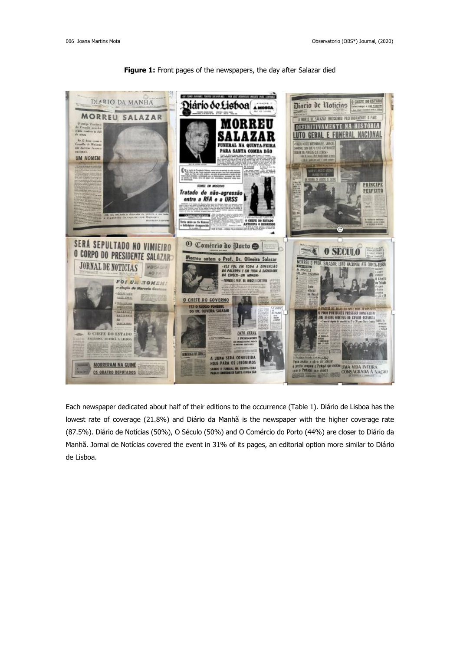

## Figure 1: Front pages of the newspapers, the day after Salazar died

Each newspaper dedicated about half of their editions to the occurrence (Table 1). Diário de Lisboa has the lowest rate of coverage (21.8%) and Diário da Manhã is the newspaper with the higher coverage rate (87.5%). Diário de Notícias (50%), O Século (50%) and O Comércio do Porto (44%) are closer to Diário da Manhã. Jornal de Notícias covered the event in 31% of its pages, an editorial option more similar to Diário de Lisboa.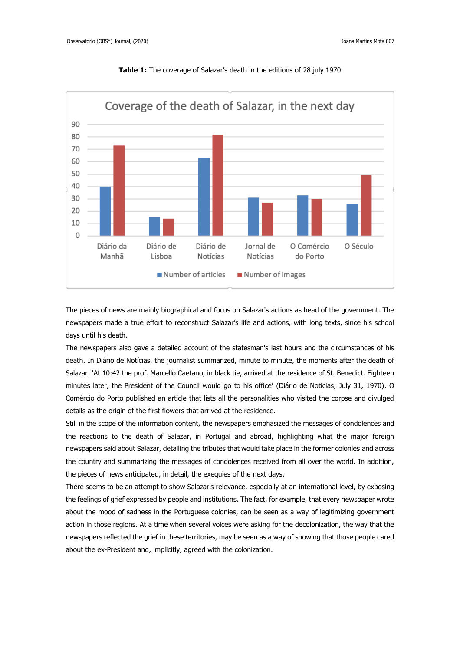

**Table 1:** The coverage of Salazar's death in the editions of 28 july 1970

The pieces of news are mainly biographical and focus on Salazar's actions as head of the government. The newspapers made a true effort to reconstruct Salazar's life and actions, with long texts, since his school days until his death.

The newspapers also gave a detailed account of the statesman's last hours and the circumstances of his death. In Diário de Notícias, the journalist summarized, minute to minute, the moments after the death of Salazar: 'At 10:42 the prof. Marcello Caetano, in black tie, arrived at the residence of St. Benedict. Eighteen minutes later, the President of the Council would go to his office' (Diário de Notícias, July 31, 1970). O Comércio do Porto published an article that lists all the personalities who visited the corpse and divulged details as the origin of the first flowers that arrived at the residence.

Still in the scope of the information content, the newspapers emphasized the messages of condolences and the reactions to the death of Salazar, in Portugal and abroad, highlighting what the major foreign newspapers said about Salazar, detailing the tributes that would take place in the former colonies and across the country and summarizing the messages of condolences received from all over the world. In addition, the pieces of news anticipated, in detail, the exequies of the next days.

There seems to be an attempt to show Salazar's relevance, especially at an international level, by exposing the feelings of grief expressed by people and institutions. The fact, for example, that every newspaper wrote about the mood of sadness in the Portuguese colonies, can be seen as a way of legitimizing government action in those regions. At a time when several voices were asking for the decolonization, the way that the newspapers reflected the grief in these territories, may be seen as a way of showing that those people cared about the ex-President and, implicitly, agreed with the colonization.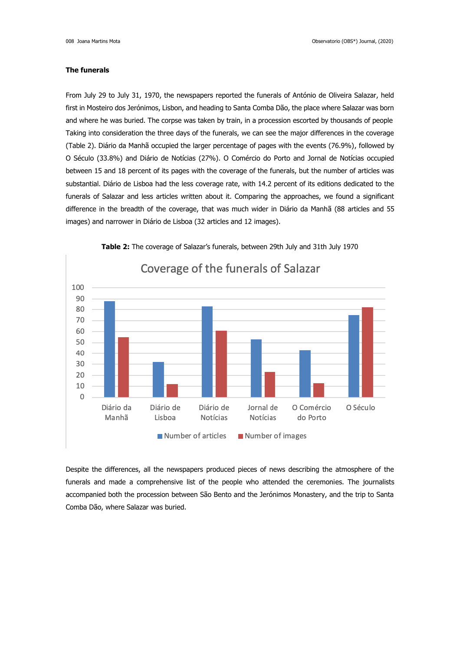## **The funerals**

From July 29 to July 31, 1970, the newspapers reported the funerals of António de Oliveira Salazar, held first in Mosteiro dos Jerónimos, Lisbon, and heading to Santa Comba Dão, the place where Salazar was born and where he was buried. The corpse was taken by train, in a procession escorted by thousands of people Taking into consideration the three days of the funerals, we can see the major differences in the coverage (Table 2). Diário da Manhã occupied the larger percentage of pages with the events (76.9%), followed by O Século (33.8%) and Diário de Notícias (27%). O Comércio do Porto and Jornal de Notícias occupied between 15 and 18 percent of its pages with the coverage of the funerals, but the number of articles was substantial. Diário de Lisboa had the less coverage rate, with 14.2 percent of its editions dedicated to the funerals of Salazar and less articles written about it. Comparing the approaches, we found a significant difference in the breadth of the coverage, that was much wider in Diário da Manhã (88 articles and 55 images) and narrower in Diário de Lisboa (32 articles and 12 images).



Despite the differences, all the newspapers produced pieces of news describing the atmosphere of the funerals and made a comprehensive list of the people who attended the ceremonies. The journalists accompanied both the procession between São Bento and the Jerónimos Monastery, and the trip to Santa Comba Dão, where Salazar was buried.

# **Table 2:** The coverage of Salazar's funerals, between 29th July and 31th July 1970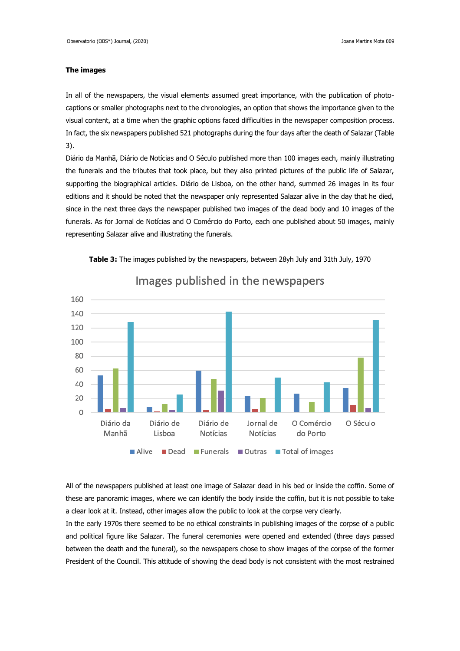## **The images**

In all of the newspapers, the visual elements assumed great importance, with the publication of photocaptions or smaller photographs next to the chronologies, an option that shows the importance given to the visual content, at a time when the graphic options faced difficulties in the newspaper composition process. In fact, the six newspapers published 521 photographs during the four days after the death of Salazar (Table 3).

Diário da Manhã, Diário de Notícias and O Século published more than 100 images each, mainly illustrating the funerals and the tributes that took place, but they also printed pictures of the public life of Salazar, supporting the biographical articles. Diário de Lisboa, on the other hand, summed 26 images in its four editions and it should be noted that the newspaper only represented Salazar alive in the day that he died, since in the next three days the newspaper published two images of the dead body and 10 images of the funerals. As for Jornal de Notícias and O Comércio do Porto, each one published about 50 images, mainly representing Salazar alive and illustrating the funerals.



**Table 3:** The images published by the newspapers, between 28yh July and 31th July, 1970

All of the newspapers published at least one image of Salazar dead in his bed or inside the coffin. Some of these are panoramic images, where we can identify the body inside the coffin, but it is not possible to take a clear look at it. Instead, other images allow the public to look at the corpse very clearly.

In the early 1970s there seemed to be no ethical constraints in publishing images of the corpse of a public and political figure like Salazar. The funeral ceremonies were opened and extended (three days passed between the death and the funeral), so the newspapers chose to show images of the corpse of the former President of the Council. This attitude of showing the dead body is not consistent with the most restrained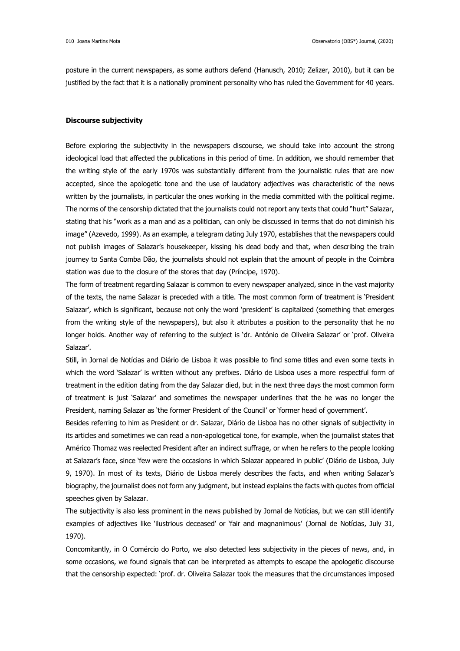posture in the current newspapers, as some authors defend (Hanusch, 2010; Zelizer, 2010), but it can be justified by the fact that it is a nationally prominent personality who has ruled the Government for 40 years.

#### **Discourse subjectivity**

Before exploring the subjectivity in the newspapers discourse, we should take into account the strong ideological load that affected the publications in this period of time. In addition, we should remember that the writing style of the early 1970s was substantially different from the journalistic rules that are now accepted, since the apologetic tone and the use of laudatory adjectives was characteristic of the news written by the journalists, in particular the ones working in the media committed with the political regime. The norms of the censorship dictated that the journalists could not report any texts that could "hurt" Salazar, stating that his "work as a man and as a politician, can only be discussed in terms that do not diminish his image" (Azevedo, 1999). As an example, a telegram dating July 1970, establishes that the newspapers could not publish images of Salazar's housekeeper, kissing his dead body and that, when describing the train journey to Santa Comba Dão, the journalists should not explain that the amount of people in the Coimbra station was due to the closure of the stores that day (Príncipe, 1970).

The form of treatment regarding Salazar is common to every newspaper analyzed, since in the vast majority of the texts, the name Salazar is preceded with a title. The most common form of treatment is 'President Salazar', which is significant, because not only the word 'president' is capitalized (something that emerges from the writing style of the newspapers), but also it attributes a position to the personality that he no longer holds. Another way of referring to the subject is 'dr. António de Oliveira Salazar' or 'prof. Oliveira Salazar'.

Still, in Jornal de Notícias and Diário de Lisboa it was possible to find some titles and even some texts in which the word 'Salazar' is written without any prefixes. Diário de Lisboa uses a more respectful form of treatment in the edition dating from the day Salazar died, but in the next three days the most common form of treatment is just 'Salazar' and sometimes the newspaper underlines that the he was no longer the President, naming Salazar as 'the former President of the Council' or 'former head of government'.

Besides referring to him as President or dr. Salazar, Diário de Lisboa has no other signals of subjectivity in its articles and sometimes we can read a non-apologetical tone, for example, when the journalist states that Américo Thomaz was reelected President after an indirect suffrage, or when he refers to the people looking at Salazar's face, since 'few were the occasions in which Salazar appeared in public' (Diário de Lisboa, July 9, 1970). In most of its texts, Diário de Lisboa merely describes the facts, and when writing Salazar's biography, the journalist does not form any judgment, but instead explains the facts with quotes from official speeches given by Salazar.

The subjectivity is also less prominent in the news published by Jornal de Notícias, but we can still identify examples of adjectives like 'ilustrious deceased' or 'fair and magnanimous' (Jornal de Notícias, July 31, 1970).

Concomitantly, in O Comércio do Porto, we also detected less subjectivity in the pieces of news, and, in some occasions, we found signals that can be interpreted as attempts to escape the apologetic discourse that the censorship expected: 'prof. dr. Oliveira Salazar took the measures that the circumstances imposed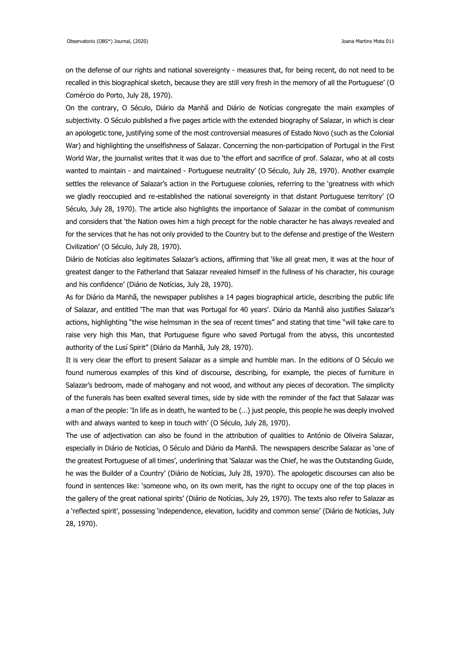on the defense of our rights and national sovereignty - measures that, for being recent, do not need to be recalled in this biographical sketch, because they are still very fresh in the memory of all the Portuguese' (O Comércio do Porto, July 28, 1970).

On the contrary, O Século, Diário da Manhã and Diário de Notícias congregate the main examples of subjectivity. O Século published a five pages article with the extended biography of Salazar, in which is clear an apologetic tone, justifying some of the most controversial measures of Estado Novo (such as the Colonial War) and highlighting the unselfishness of Salazar. Concerning the non-participation of Portugal in the First World War, the journalist writes that it was due to 'the effort and sacrifice of prof. Salazar, who at all costs wanted to maintain - and maintained - Portuguese neutrality' (O Século, July 28, 1970). Another example settles the relevance of Salazar's action in the Portuguese colonies, referring to the 'greatness with which we gladly reoccupied and re-established the national sovereignty in that distant Portuguese territory' (O Século, July 28, 1970). The article also highlights the importance of Salazar in the combat of communism and considers that 'the Nation owes him a high precept for the noble character he has always revealed and for the services that he has not only provided to the Country but to the defense and prestige of the Western Civilization' (O Século, July 28, 1970).

Diário de Notícias also legitimates Salazar's actions, affirming that 'like all great men, it was at the hour of greatest danger to the Fatherland that Salazar revealed himself in the fullness of his character, his courage and his confidence' (Diário de Notícias, July 28, 1970).

As for Diário da Manhã, the newspaper publishes a 14 pages biographical article, describing the public life of Salazar, and entitled 'The man that was Portugal for 40 years'. Diário da Manhã also justifies Salazar's actions, highlighting "the wise helmsman in the sea of recent times" and stating that time "will take care to raise very high this Man, that Portuguese figure who saved Portugal from the abyss, this uncontested authority of the Lusí Spirit" (Diário da Manhã, July 28, 1970).

It is very clear the effort to present Salazar as a simple and humble man. In the editions of O Século we found numerous examples of this kind of discourse, describing, for example, the pieces of furniture in Salazar's bedroom, made of mahogany and not wood, and without any pieces of decoration. The simplicity of the funerals has been exalted several times, side by side with the reminder of the fact that Salazar was a man of the people: 'In life as in death, he wanted to be (…) just people, this people he was deeply involved with and always wanted to keep in touch with' (O Século, July 28, 1970).

The use of adjectivation can also be found in the attribution of qualities to António de Oliveira Salazar, especially in Diário de Notícias, O Século and Diário da Manhã. The newspapers describe Salazar as 'one of the greatest Portuguese of all times', underlining that 'Salazar was the Chief, he was the Outstanding Guide, he was the Builder of a Country' (Diário de Notícias, July 28, 1970). The apologetic discourses can also be found in sentences like: 'someone who, on its own merit, has the right to occupy one of the top places in the gallery of the great national spirits' (Diário de Notícias, July 29, 1970). The texts also refer to Salazar as a 'reflected spirit', possessing 'independence, elevation, lucidity and common sense' (Diário de Notícias, July 28, 1970).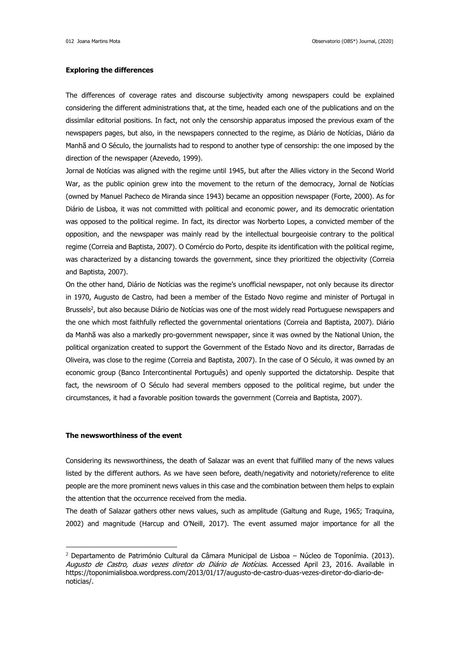## **Exploring the differences**

The differences of coverage rates and discourse subjectivity among newspapers could be explained considering the different administrations that, at the time, headed each one of the publications and on the dissimilar editorial positions. In fact, not only the censorship apparatus imposed the previous exam of the newspapers pages, but also, in the newspapers connected to the regime, as Diário de Notícias, Diário da Manhã and O Século, the journalists had to respond to another type of censorship: the one imposed by the direction of the newspaper (Azevedo, 1999).

Jornal de Notícias was aligned with the regime until 1945, but after the Allies victory in the Second World War, as the public opinion grew into the movement to the return of the democracy, Jornal de Notícias (owned by Manuel Pacheco de Miranda since 1943) became an opposition newspaper (Forte, 2000). As for Diário de Lisboa, it was not committed with political and economic power, and its democratic orientation was opposed to the political regime. In fact, its director was Norberto Lopes, a convicted member of the opposition, and the newspaper was mainly read by the intellectual bourgeoisie contrary to the political regime (Correia and Baptista, 2007). O Comércio do Porto, despite its identification with the political regime, was characterized by a distancing towards the government, since they prioritized the objectivity (Correia and Baptista, 2007).

On the other hand, Diário de Notícias was the regime's unofficial newspaper, not only because its director in 1970, Augusto de Castro, had been a member of the Estado Novo regime and minister of Portugal in Brussels<sup>2</sup>, but also because Diário de Notícias was one of the most widely read Portuguese newspapers and the one which most faithfully reflected the governmental orientations (Correia and Baptista, 2007). Diário da Manhã was also a markedly pro-government newspaper, since it was owned by the National Union, the political organization created to support the Government of the Estado Novo and its director, Barradas de Oliveira, was close to the regime (Correia and Baptista, 2007). In the case of O Século, it was owned by an economic group (Banco Intercontinental Português) and openly supported the dictatorship. Despite that fact, the newsroom of O Século had several members opposed to the political regime, but under the circumstances, it had a favorable position towards the government (Correia and Baptista, 2007).

## **The newsworthiness of the event**

Considering its newsworthiness, the death of Salazar was an event that fulfilled many of the news values listed by the different authors. As we have seen before, death/negativity and notoriety/reference to elite people are the more prominent news values in this case and the combination between them helps to explain the attention that the occurrence received from the media.

The death of Salazar gathers other news values, such as amplitude (Galtung and Ruge, 1965; Traquina, 2002) and magnitude (Harcup and O'Neill, 2017). The event assumed major importance for all the

<sup>&</sup>lt;sup>2</sup> Departamento de Património Cultural da Câmara Municipal de Lisboa – Núcleo de Toponímia. (2013). Augusto de Castro, duas vezes diretor do Diário de Notícias. Accessed April 23, 2016. Available in https://toponimialisboa.wordpress.com/2013/01/17/augusto-de-castro-duas-vezes-diretor-do-diario-denoticias/.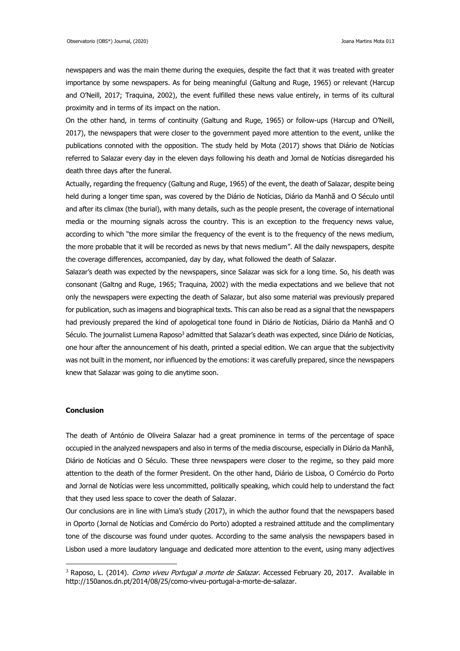newspapers and was the main theme during the exequies, despite the fact that it was treated with greater importance by some newspapers. As for being meaningful (Galtung and Ruge, 1965) or relevant (Harcup and O'Neill, 2017; Traquina, 2002), the event fulfilled these news value entirely, in terms of its cultural proximity and in terms of its impact on the nation.

On the other hand, in terms of continuity (Galtung and Ruge, 1965) or follow-ups (Harcup and O'Neill, 2017), the newspapers that were closer to the government payed more attention to the event, unlike the publications connoted with the opposition. The study held by Mota (2017) shows that Diário de Notícias referred to Salazar every day in the eleven days following his death and Jornal de Notícias disregarded his death three days after the funeral.

Actually, regarding the frequency (Galtung and Ruge, 1965) of the event, the death of Salazar, despite being held during a longer time span, was covered by the Diário de Notícias, Diário da Manhã and O Século until and after its climax (the burial), with many details, such as the people present, the coverage of international media or the mourning signals across the country. This is an exception to the frequency news value, according to which "the more similar the frequency of the event is to the frequency of the news medium, the more probable that it will be recorded as news by that news medium". All the daily newspapers, despite the coverage differences, accompanied, day by day, what followed the death of Salazar.

Salazar's death was expected by the newspapers, since Salazar was sick for a long time. So, his death was consonant (Galtng and Ruge, 1965; Traquina, 2002) with the media expectations and we believe that not only the newspapers were expecting the death of Salazar, but also some material was previously prepared for publication, such as imagens and biographical texts. This can also be read as a signal that the newspapers had previously prepared the kind of apologetical tone found in Diário de Notícias, Diário da Manhã and O Século. The journalist Lumena Raposo<sup>3</sup> admitted that Salazar's death was expected, since Diário de Notícias, one hour after the announcement of his death, printed a special edition. We can argue that the subjectivity was not built in the moment, nor influenced by the emotions: it was carefully prepared, since the newspapers knew that Salazar was going to die anytime soon.

# **Conclusion**

The death of António de Oliveira Salazar had a great prominence in terms of the percentage of space occupied in the analyzed newspapers and also in terms of the media discourse, especially in Diário da Manhã, Diário de Notícias and O Século. These three newspapers were closer to the regime, so they paid more attention to the death of the former President. On the other hand, Diário de Lisboa, O Comércio do Porto and Jornal de Notícias were less uncommitted, politically speaking, which could help to understand the fact that they used less space to cover the death of Salazar.

Our conclusions are in line with Lima's study (2017), in which the author found that the newspapers based in Oporto (Jornal de Notícias and Comércio do Porto) adopted a restrained attitude and the complimentary tone of the discourse was found under quotes. According to the same analysis the newspapers based in Lisbon used a more laudatory language and dedicated more attention to the event, using many adjectives

<sup>&</sup>lt;sup>3</sup> Raposo, L. (2014). *Como viveu Portugal a morte de Salazar*. Accessed February 20, 2017. Available in http://150anos.dn.pt/2014/08/25/como-viveu-portugal-a-morte-de-salazar.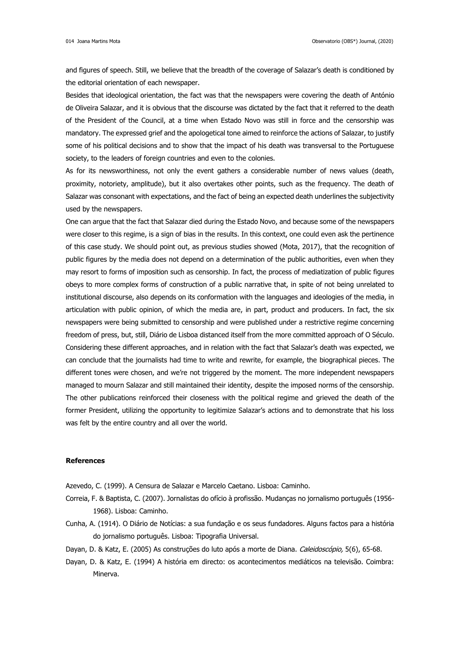and figures of speech. Still, we believe that the breadth of the coverage of Salazar's death is conditioned by the editorial orientation of each newspaper.

Besides that ideological orientation, the fact was that the newspapers were covering the death of António de Oliveira Salazar, and it is obvious that the discourse was dictated by the fact that it referred to the death of the President of the Council, at a time when Estado Novo was still in force and the censorship was mandatory. The expressed grief and the apologetical tone aimed to reinforce the actions of Salazar, to justify some of his political decisions and to show that the impact of his death was transversal to the Portuguese society, to the leaders of foreign countries and even to the colonies.

As for its newsworthiness, not only the event gathers a considerable number of news values (death, proximity, notoriety, amplitude), but it also overtakes other points, such as the frequency. The death of Salazar was consonant with expectations, and the fact of being an expected death underlines the subjectivity used by the newspapers.

One can argue that the fact that Salazar died during the Estado Novo, and because some of the newspapers were closer to this regime, is a sign of bias in the results. In this context, one could even ask the pertinence of this case study. We should point out, as previous studies showed (Mota, 2017), that the recognition of public figures by the media does not depend on a determination of the public authorities, even when they may resort to forms of imposition such as censorship. In fact, the process of mediatization of public figures obeys to more complex forms of construction of a public narrative that, in spite of not being unrelated to institutional discourse, also depends on its conformation with the languages and ideologies of the media, in articulation with public opinion, of which the media are, in part, product and producers. In fact, the six newspapers were being submitted to censorship and were published under a restrictive regime concerning freedom of press, but, still, Diário de Lisboa distanced itself from the more committed approach of O Século. Considering these different approaches, and in relation with the fact that Salazar's death was expected, we can conclude that the journalists had time to write and rewrite, for example, the biographical pieces. The different tones were chosen, and we're not triggered by the moment. The more independent newspapers managed to mourn Salazar and still maintained their identity, despite the imposed norms of the censorship. The other publications reinforced their closeness with the political regime and grieved the death of the former President, utilizing the opportunity to legitimize Salazar's actions and to demonstrate that his loss was felt by the entire country and all over the world.

# **References**

Azevedo, C. (1999). A Censura de Salazar e Marcelo Caetano. Lisboa: Caminho.

- Correia, F. & Baptista, C. (2007). Jornalistas do ofício à profissão. Mudanças no jornalismo português (1956- 1968). Lisboa: Caminho.
- Cunha, A. (1914). O Diário de Notícias: a sua fundação e os seus fundadores. Alguns factos para a história do jornalismo português. Lisboa: Tipografia Universal.
- Dayan, D. & Katz, E. (2005) As construções do luto após a morte de Diana. Caleidoscópio, 5(6), 65-68.
- Dayan, D. & Katz, E. (1994) A história em directo: os acontecimentos mediáticos na televisão. Coimbra: Minerva.